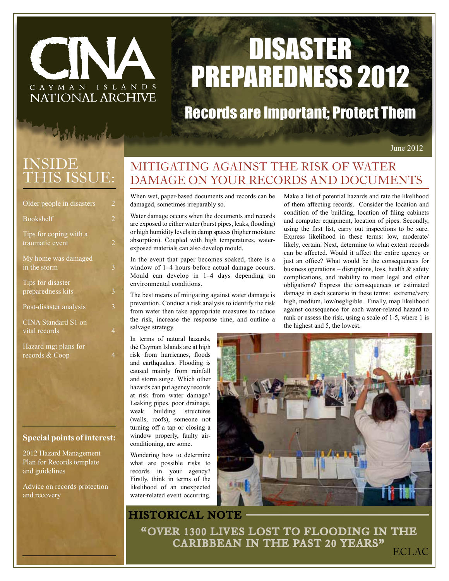

# DISASTER PREPAREDNESS 2012

# Records are Important; Protect Them

June 2012

# Inside this issue:

Linker med

| Older people in disasters                 |                |
|-------------------------------------------|----------------|
| <b>Bookshelf</b>                          | $\mathfrak{D}$ |
| Tips for coping with a<br>traumatic event | $\mathfrak{D}$ |
| My home was damaged<br>in the storm       | 3              |
| Tips for disaster<br>preparedness kits    | 3              |
| Post-disaster analysis                    | 3              |
| CINA Standard S1 on<br>vital records      | 4              |
| Hazard mgt plans for<br>records & Coop    | 4              |

#### **Special points of interest:**

2012 Hazard Management Plan for Records template and guidelines

Advice on records protection and recovery

## MITIGATING AGAINST THE RISK OF WATER DAMAGE ON YOUR RECORDS AND DOCUMENTS

When wet, paper-based documents and records can be damaged, sometimes irreparably so.

Water damage occurs when the documents and records are exposed to either water (burst pipes, leaks, flooding) or high humidity levels in damp spaces (higher moisture absorption). Coupled with high temperatures, waterexposed materials can also develop mould.

In the event that paper becomes soaked, there is a window of 1–4 hours before actual damage occurs. Mould can develop in 1–4 days depending on environmental conditions.

The best means of mitigating against water damage is prevention. Conduct a risk analysis to identify the risk from water then take appropriate measures to reduce the risk, increase the response time, and outline a salvage strategy.

In terms of natural hazards, the Cayman Islands are at high risk from hurricanes, floods and earthquakes. Flooding is caused mainly from rainfall and storm surge. Which other hazards can put agency records at risk from water damage? Leaking pipes, poor drainage, weak building structures (walls, roofs), someone not turning off a tap or closing a window properly, faulty airconditioning, are some.

Wondering how to determine what are possible risks to records in your agency? Firstly, think in terms of the likelihood of an unexpected water-related event occurring.

Make a list of potential hazards and rate the likelihood of them affecting records. Consider the location and condition of the building, location of filing cabinets and computer equipment, location of pipes. Secondly, using the first list, carry out inspections to be sure. Express likelihood in these terms: low, moderate/ likely, certain. Next, determine to what extent records can be affected. Would it affect the entire agency or just an office? What would be the consequences for business operations – disruptions, loss, health  $\&$  safety complications, and inability to meet legal and other obligations? Express the consequences or estimated damage in each scenario in these terms: extreme/very high, medium, low/negligible. Finally, map likelihood against consequence for each water-related hazard to rank or assess the risk, using a scale of 1-5, where 1 is the highest and 5, the lowest.



HISTORICAL NOTE "Over 1300 lives lost to flooding in the CARIBBEAN IN THE PAST 20 YEARS" ECLAC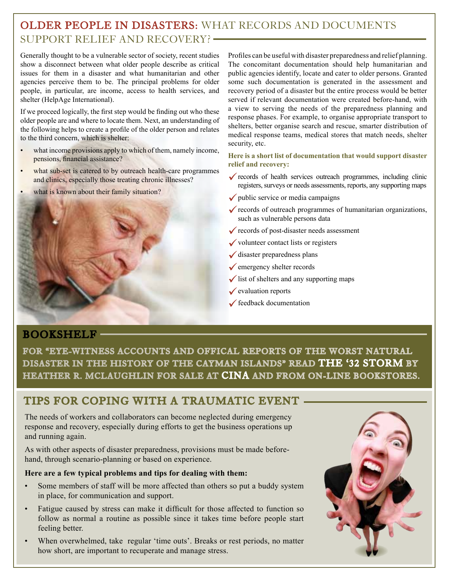### OLDER PEOPLE IN DISASTERS: WHAT RECORDS AND DOCUMENTS SUPPORT RELIEF AND RECOVERY?

Generally thought to be a vulnerable sector of society, recent studies show a disconnect between what older people describe as critical issues for them in a disaster and what humanitarian and other agencies perceive them to be. The principal problems for older people, in particular, are income, access to health services, and shelter (HelpAge International).

If we proceed logically, the first step would be finding out who these older people are and where to locate them. Next, an understanding of the following helps to create a profile of the older person and relates to the third concern, which is shelter:

- what income provisions apply to which of them, namely income, pensions, financial assistance?
- what sub-set is catered to by outreach health-care programmes and clinics, especially those treating chronic illnesses?
- what is known about their family situation?



Profiles can be useful with disaster preparedness and relief planning. The concomitant documentation should help humanitarian and public agencies identify, locate and cater to older persons. Granted some such documentation is generated in the assessment and recovery period of a disaster but the entire process would be better served if relevant documentation were created before-hand, with a view to serving the needs of the preparedness planning and response phases. For example, to organise appropriate transport to shelters, better organise search and rescue, smarter distribution of medical response teams, medical stores that match needs, shelter security, etc.

#### **Here is a short list of documentation that would support disaster relief and recovery:**

- $\checkmark$  records of health services outreach programmes, including clinic registers, surveys or needs assessments, reports, any supporting maps
- $\checkmark$  public service or media campaigns
- $\checkmark$  records of outreach programmes of humanitarian organizations, such as vulnerable persons data
- $\checkmark$  records of post-disaster needs assessment
- $\checkmark$  volunteer contact lists or registers
- $\checkmark$  disaster preparedness plans
- $\sqrt{\ }$  emergency shelter records
- $\checkmark$  list of shelters and any supporting maps
- $\checkmark$  evaluation reports
- $\checkmark$  feedback documentation

#### BOOKSHELF

For "Eye-Witness Accounts and Offical Reports of the Worst Natural Disaster in the History of the Cayman Islands" read The '32 Storm by Heather R. McLaughlin for sale at CINA and from on-line bookstores.

### Tips for coping with a traumatic event

The needs of workers and collaborators can become neglected during emergency response and recovery, especially during efforts to get the business operations up and running again.

As with other aspects of disaster preparedness, provisions must be made beforehand, through scenario-planning or based on experience.

#### **Here are a few typical problems and tips for dealing with them:**

- Some members of staff will be more affected than others so put a buddy system in place, for communication and support.
- Fatigue caused by stress can make it difficult for those affected to function so follow as normal a routine as possible since it takes time before people start feeling better.
- When overwhelmed, take regular 'time outs'. Breaks or rest periods, no matter how short, are important to recuperate and manage stress.

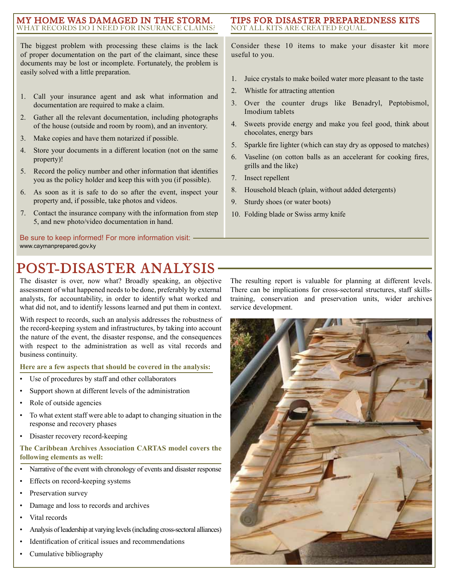#### MY HOME WAS DAMAGED IN THE STORM. WHAT RECORDS DO I NEED FOR INSURANCE CLAIMS?

The biggest problem with processing these claims is the lack of proper documentation on the part of the claimant, since these documents may be lost or incomplete. Fortunately, the problem is easily solved with a little preparation.

- 1. Call your insurance agent and ask what information and documentation are required to make a claim.
- 2. Gather all the relevant documentation, including photographs of the house (outside and room by room), and an inventory.
- 3. Make copies and have them notarized if possible.
- 4. Store your documents in a different location (not on the same property)!
- 5. Record the policy number and other information that identifies you as the policy holder and keep this with you (if possible).
- 6. As soon as it is safe to do so after the event, inspect your property and, if possible, take photos and videos.
- 7. Contact the insurance company with the information from step 5, and new photo/video documentation in hand.

Be sure to keep informed! For more information visit: www.caymanprepared.gov.ky

#### TIPS FOR DISASTER PREPAREDNESS KITS NOT ALL KITS ARE CREATED EQUAL.

Consider these 10 items to make your disaster kit more useful to you.

- 1. Juice crystals to make boiled water more pleasant to the taste
- 2. Whistle for attracting attention
- 3. Over the counter drugs like Benadryl, Peptobismol, Imodium tablets
- 4. Sweets provide energy and make you feel good, think about chocolates, energy bars
- 5. Sparkle fire lighter (which can stay dry as opposed to matches)
- 6. Vaseline (on cotton balls as an accelerant for cooking fires, grills and the like)
- 7. Insect repellent
- 8. Household bleach (plain, without added detergents)
- 9. Sturdy shoes (or water boots)
- 10. Folding blade or Swiss army knife

# POST-DISASTER ANALYSIS

The disaster is over, now what? Broadly speaking, an objective assessment of what happened needs to be done, preferably by external analysts, for accountability, in order to identify what worked and what did not, and to identify lessons learned and put them in context.

With respect to records, such an analysis addresses the robustness of the record-keeping system and infrastructures, by taking into account the nature of the event, the disaster response, and the consequences with respect to the administration as well as vital records and business continuity.

**Here are a few aspects that should be covered in the analysis:**

- Use of procedures by staff and other collaborators
- Support shown at different levels of the administration
- Role of outside agencies
- To what extent staff were able to adapt to changing situation in the response and recovery phases
- Disaster recovery record-keeping

#### **The Caribbean Archives Association CARTAS model covers the following elements as well:**

- Narrative of the event with chronology of events and disaster response
- Effects on record-keeping systems
- Preservation survey
- Damage and loss to records and archives
- Vital records
- Analysis of leadership at varying levels (including cross-sectoral alliances)
- Identification of critical issues and recommendations
- Cumulative bibliography

The resulting report is valuable for planning at different levels. There can be implications for cross-sectoral structures, staff skillstraining, conservation and preservation units, wider archives service development.